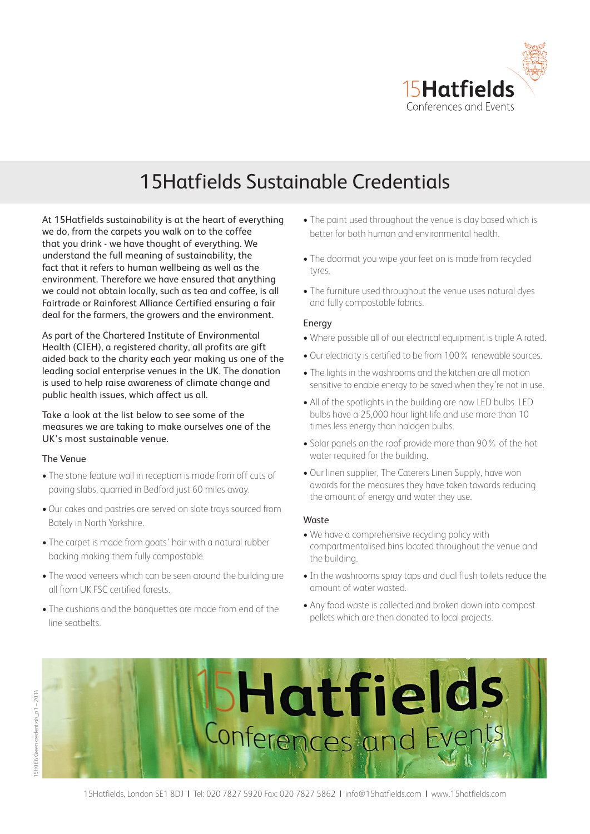

# 15Hatfields Sustainable Credentials

At 15Hatfields sustainability is at the heart of everything we do, from the carpets you walk on to the coffee that you drink - we have thought of everything. We understand the full meaning of sustainability, the fact that it refers to human wellbeing as well as the environment. Therefore we have ensured that anything we could not obtain locally, such as tea and coffee, is all Fairtrade or Rainforest Alliance Certified ensuring a fair deal for the farmers, the growers and the environment.

As part of the Chartered Institute of Environmental Health (CIEH), a registered charity, all profits are gift aided back to the charity each year making us one of the leading social enterprise venues in the UK. The donation is used to help raise awareness of climate change and public health issues, which affect us all.

Take a look at the list below to see some of the measures we are taking to make ourselves one of the UK's most sustainable venue.

#### The Venue

- The stone feature wall in reception is made from off cuts of paving slabs, quarried in Bedford just 60 miles away.
- Our cakes and pastries are served on slate trays sourced from Bately in North Yorkshire.
- The carpet is made from goats' hair with a natural rubber backing making them fully compostable.
- The wood veneers which can be seen around the building are all from UK FSC certified forests.
- The cushions and the banquettes are made from end of the line seatbelts.
- The paint used throughout the venue is clay based which is better for both human and environmental health.
- The doormat you wipe your feet on is made from recycled tyres.
- The furniture used throughout the venue uses natural dyes and fully compostable fabrics.

### Energy

- Where possible all of our electrical equipment is triple A rated.
- Our electricity is certified to be from 100% renewable sources.
- The lights in the washrooms and the kitchen are all motion sensitive to enable energy to be saved when they're not in use.
- All of the spotlights in the building are now LED bulbs. LED bulbs have a 25,000 hour light life and use more than 10 times less energy than halogen bulbs.
- Solar panels on the roof provide more than 90% of the hot water required for the building.
- Our linen supplier, The Caterers Linen Supply, have won awards for the measures they have taken towards reducing the amount of energy and water they use.

#### Waste

- We have a comprehensive recycling policy with compartmentalised bins located throughout the venue and the building.
- In the washrooms spray taps and dual flush toilets reduce the amount of water wasted.
- Any food waste is collected and broken down into compost pellets which are then donated to local projects.